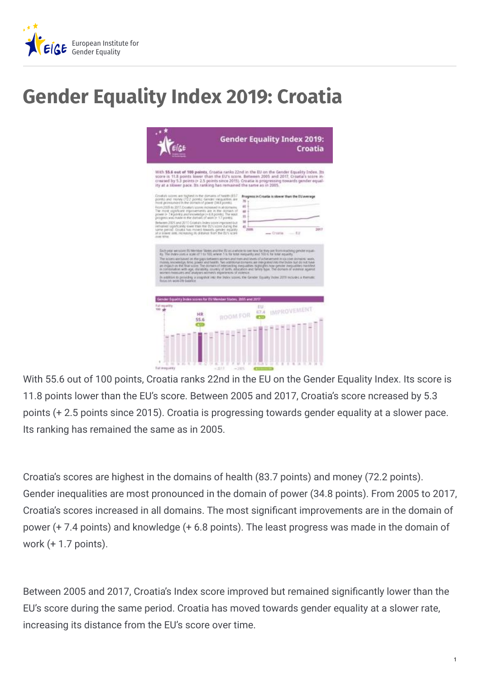

## **Gender Equality Index 2019: Croatia**

|                                                | ity at a slower pace. Its ranking has remained the same as in 2005.                                                                                                                                                                                                                                                                                                                                                                                                                                                                                                                                                                                                                                                                                |          |                                                  | With 55.6 out of 100 points, Crostia ranks 22nd in the EU on the Gender Equality Index. Its<br>store is 11.8 points lower than the EU's score. Between 2005 and 2017. Croatia's score in-<br>created by 5.3 points (+ 2.5 points since 2015). Croatia is progressing towards gender equal-                                                                                                                                                                                                                                                                                                                                                                                                                                                                                                                                                                                              |            |
|------------------------------------------------|----------------------------------------------------------------------------------------------------------------------------------------------------------------------------------------------------------------------------------------------------------------------------------------------------------------------------------------------------------------------------------------------------------------------------------------------------------------------------------------------------------------------------------------------------------------------------------------------------------------------------------------------------------------------------------------------------------------------------------------------------|----------|--------------------------------------------------|-----------------------------------------------------------------------------------------------------------------------------------------------------------------------------------------------------------------------------------------------------------------------------------------------------------------------------------------------------------------------------------------------------------------------------------------------------------------------------------------------------------------------------------------------------------------------------------------------------------------------------------------------------------------------------------------------------------------------------------------------------------------------------------------------------------------------------------------------------------------------------------------|------------|
| over time.<br><b>Rocky on work one balance</b> | Croature scores are highest in the duriatio of hasile (837)<br>points and money (722 points: Gendri inequalities are<br>most pronounced in the domain of power (34.5 points).<br>From 2005 to 2017, Droidle's scores increased in all domerns.<br>The most significant mansvertients are in the domain of<br>power in T4 points and exceeding is 6.8 points. The west<br>progress was made in the domain of way in 1.7 points.<br>Behavion 2005 and 2017. Crosture Index society/reproved bull<br>remained supsticantly lower than the BU's some during the<br>same period. Occasi drawed towards censor equality<br>AR A GOVER AND, FREMANDED BY GRAPHIE BUILT THE EUTH SCOPE<br>economic measures and analyses women's experiences of victimical |          | <b>bs</b><br>65<br>44<br>St.<br>50<br>45<br>2008 | Progress In Croatia is slower than the EU average<br>$-$ Crusties<br>Exchange we salare thi territor States and the EU as alabale to see tow Se they are from reaching gender equal-<br>its. The Index uses a scale it! I to 500, where 1 is to lote everywity and 500 it. for total reswits.<br>The scioles annivored on the gaps testamen women and men and levels of a diversement in sociole dismains; work,<br>myses assisted to fine power est twell. No additional divisions are introduced the busin to do not have<br>are impact in the first scient The domain of interpecting slegualities night-glitt how gender invigualities markfield.<br>in contentation with age, disratisful country of darks, education and Gries-Spec. The domain of summer agency<br>In addition to providing a snapshot into the Index source, the Gender Equality Index 2019 includes a thematic | 2017<br>无比 |
| <b>Full equality</b><br>100 afr                | er Equality Sydna scores for EU Member States, 2005 and 2017<br>HR<br>55.6<br>ro                                                                                                                                                                                                                                                                                                                                                                                                                                                                                                                                                                                                                                                                   | ROOM FOR | EU.<br><b>R7.4</b>                               | <b>IMPROVEMENT</b>                                                                                                                                                                                                                                                                                                                                                                                                                                                                                                                                                                                                                                                                                                                                                                                                                                                                      |            |

With 55.6 out of 100 points, Croatia ranks 22nd in the EU on the Gender Equality Index. Its score is 11.8 points lower than the EU's score. Between 2005 and 2017, Croatia's score ncreased by 5.3 points (+ 2.5 points since 2015). Croatia is progressing towards gender equality at a slower pace. Its ranking has remained the same as in 2005.

Croatia's scores are highest in the domains of health (83.7 points) and money (72.2 points). Gender inequalities are most pronounced in the domain of power (34.8 points). From 2005 to 2017, Croatia's scores increased in all domains. The most significant improvements are in the domain of power (+ 7.4 points) and knowledge (+ 6.8 points). The least progress was made in the domain of work (+ 1.7 points).

Between 2005 and 2017, Croatia's Index score improved but remained significantly lower than the EU's score during the same period. Croatia has moved towards gender equality at a slower rate, increasing its distance from the EU's score over time.